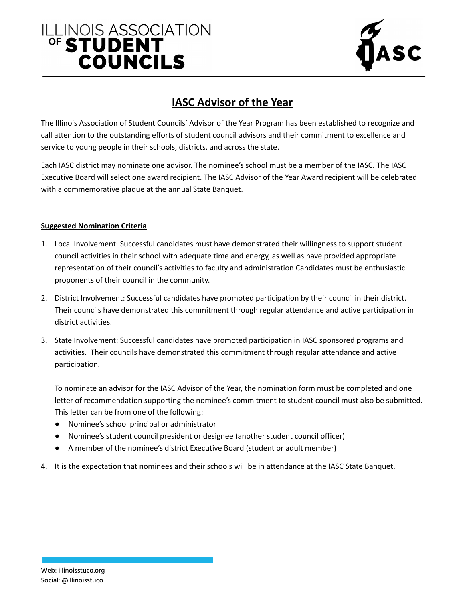# ILLINOIS ASSOCIATION **COUNCILS**



## **IASC Advisor of the Year**

The Illinois Association of Student Councils' Advisor of the Year Program has been established to recognize and call attention to the outstanding efforts of student council advisors and their commitment to excellence and service to young people in their schools, districts, and across the state.

Each IASC district may nominate one advisor. The nominee's school must be a member of the IASC. The IASC Executive Board will select one award recipient. The IASC Advisor of the Year Award recipient will be celebrated with a commemorative plaque at the annual State Banquet.

#### **Suggested Nomination Criteria**

- 1. Local Involvement: Successful candidates must have demonstrated their willingness to support student council activities in their school with adequate time and energy, as well as have provided appropriate representation of their council's activities to faculty and administration Candidates must be enthusiastic proponents of their council in the community.
- 2. District Involvement: Successful candidates have promoted participation by their council in their district. Their councils have demonstrated this commitment through regular attendance and active participation in district activities.
- 3. State Involvement: Successful candidates have promoted participation in IASC sponsored programs and activities. Their councils have demonstrated this commitment through regular attendance and active participation.

To nominate an advisor for the IASC Advisor of the Year, the nomination form must be completed and one letter of recommendation supporting the nominee's commitment to student council must also be submitted. This letter can be from one of the following:

- Nominee's school principal or administrator
- Nominee's student council president or designee (another student council officer)
- A member of the nominee's district Executive Board (student or adult member)
- 4. It is the expectation that nominees and their schools will be in attendance at the IASC State Banquet.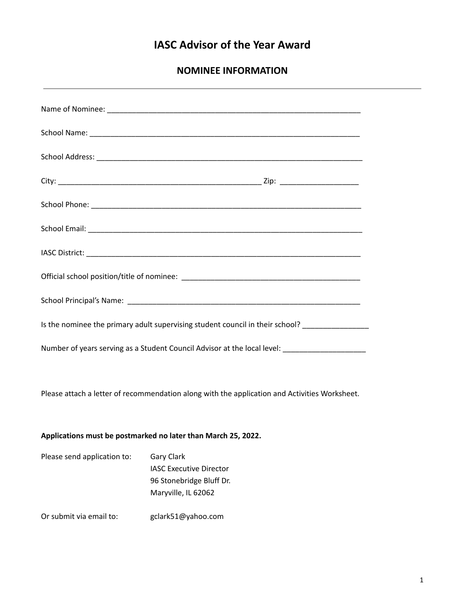## **IASC Advisor of the Year Award**

**NOMINEE INFORMATION**

| Is the nominee the primary adult supervising student council in their school? _______________       |                                                                                                        |
|-----------------------------------------------------------------------------------------------------|--------------------------------------------------------------------------------------------------------|
| Number of years serving as a Student Council Advisor at the local level: __________________________ |                                                                                                        |
|                                                                                                     |                                                                                                        |
| Please attach a letter of recommendation along with the application and Activities Worksheet.       |                                                                                                        |
|                                                                                                     |                                                                                                        |
| Applications must be postmarked no later than March 25, 2022.                                       |                                                                                                        |
| Please send application to:                                                                         | <b>Gary Clark</b><br><b>IASC Executive Director</b><br>96 Stonebridge Bluff Dr.<br>Maryville, IL 62062 |
| Or submit via email to:                                                                             | gclark51@yahoo.com                                                                                     |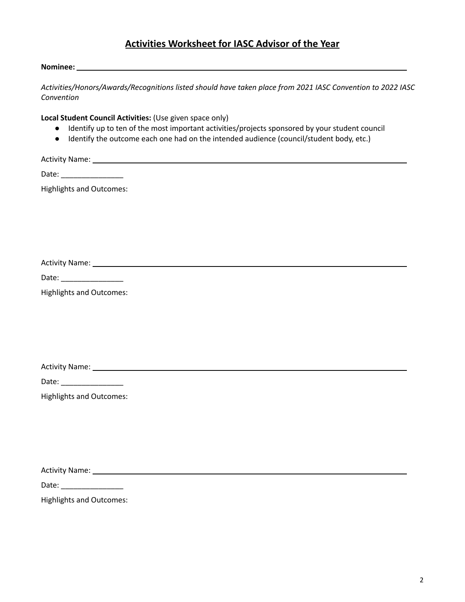### **Activities Worksheet for IASC Advisor of the Year**

#### **Nominee:**

*Activities/Honors/Awards/Recognitions listed should have taken place from 2021 IASC Convention to 2022 IASC Convention*

**Local Student Council Activities:** (Use given space only)

- Identify up to ten of the most important activities/projects sponsored by your student council
- Identify the outcome each one had on the intended audience (council/student body, etc.)

Activity Name: Name and Activity Name and Activity Name and Activity Name and Activity Name and Activity Name and Activity Name and Activity Name and Activity Name and Activity Name and Activity Name and Activity Name and

Date: \_\_\_\_\_\_\_\_\_\_\_\_\_\_\_

Highlights and Outcomes:

Activity Name:

Date: \_\_\_\_\_\_\_\_\_\_\_\_\_\_\_

Highlights and Outcomes:

Activity Name: 1988 and 2008 and 2008 and 2008 and 2008 and 2008 and 2008 and 2008 and 2008 and 2008 and 2008 and 2008 and 2008 and 2008 and 2008 and 2008 and 2008 and 2008 and 2008 and 2008 and 2008 and 2008 and 2008 and

Date: \_\_\_\_\_\_\_\_\_\_\_\_\_\_\_

Highlights and Outcomes:

Activity Name:

Date: \_\_\_\_\_\_\_\_\_\_\_\_\_\_\_

Highlights and Outcomes: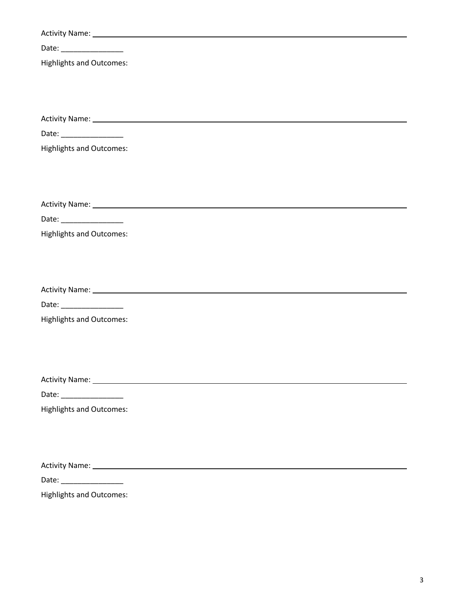| Date: __________________        |
|---------------------------------|
| <b>Highlights and Outcomes:</b> |
|                                 |
|                                 |
|                                 |
|                                 |
|                                 |
| <b>Highlights and Outcomes:</b> |
|                                 |
|                                 |
|                                 |
| Date: _________________         |
| <b>Highlights and Outcomes:</b> |
|                                 |
|                                 |
|                                 |
|                                 |
| Date: __________________        |
| <b>Highlights and Outcomes:</b> |
|                                 |
|                                 |
|                                 |
|                                 |
| Date: __________________        |
| <b>Highlights and Outcomes:</b> |
|                                 |
|                                 |
|                                 |
|                                 |
| Date: __________________        |
| <b>Highlights and Outcomes:</b> |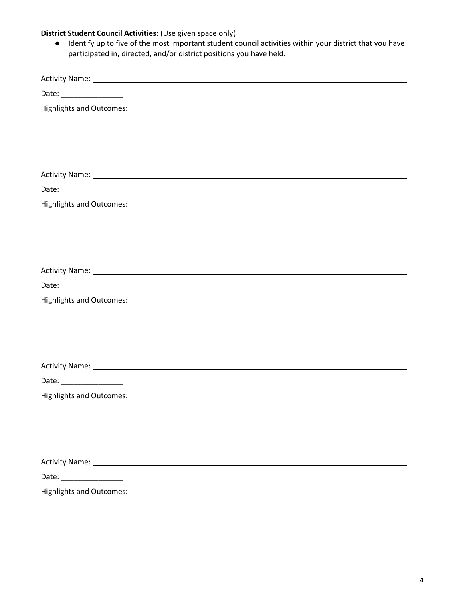#### **District Student Council Activities:** (Use given space only)

● Identify up to five of the most important student council activities within your district that you have participated in, directed, and/or district positions you have held.

Activity Name:

Date: \_\_\_\_\_\_\_\_\_\_\_\_\_\_\_

Highlights and Outcomes:

Activity Name:

Date: \_\_\_\_\_\_\_\_\_\_\_\_\_\_\_

Highlights and Outcomes:

Activity Name:

Date: \_\_\_\_\_\_\_\_\_\_\_\_\_\_\_

Highlights and Outcomes:

Activity Name:

Date: \_\_\_\_\_\_\_\_\_\_\_\_\_\_\_

Highlights and Outcomes:

Activity Name:

Date: \_\_\_\_\_\_\_\_\_\_\_\_\_\_\_

Highlights and Outcomes: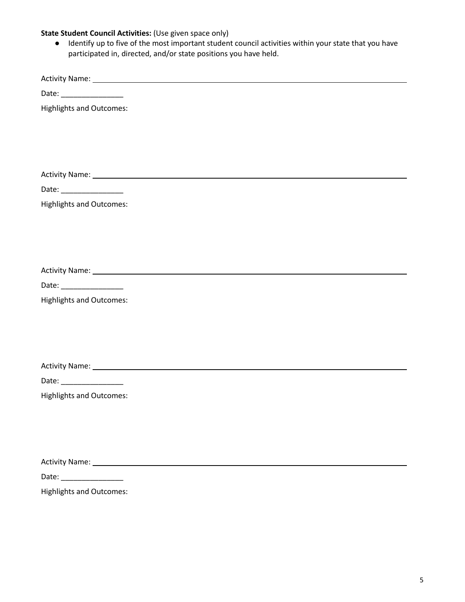#### **State Student Council Activities:** (Use given space only)

● Identify up to five of the most important student council activities within your state that you have participated in, directed, and/or state positions you have held.

Activity Name:

Date: \_\_\_\_\_\_\_\_\_\_\_\_\_\_\_

Highlights and Outcomes:

Activity Name:

Date: \_\_\_\_\_\_\_\_\_\_\_\_\_\_\_

Highlights and Outcomes:

Activity Name:

Date: \_\_\_\_\_\_\_\_\_\_\_\_\_\_\_

Highlights and Outcomes:

Activity Name:

Date: \_\_\_\_\_\_\_\_\_\_\_\_\_\_\_

Highlights and Outcomes:

Activity Name:

Date: \_\_\_\_\_\_\_\_\_\_\_\_\_\_\_

Highlights and Outcomes: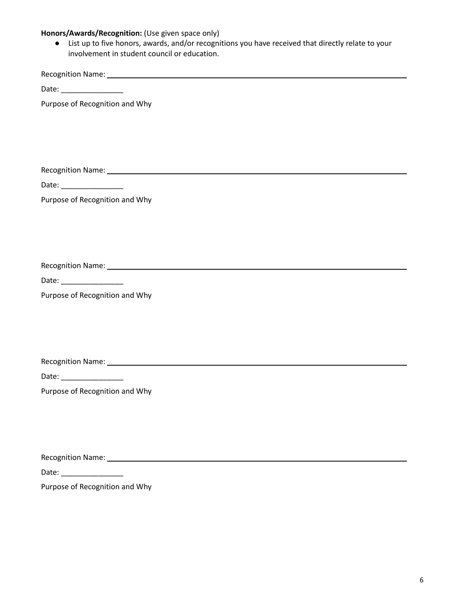#### **Honors/Awards/Recognition:** (Use given space only)

● List up to five honors, awards, and/or recognitions you have received that directly relate to your involvement in student council or education.

Recognition Name:

Date: \_\_\_\_\_\_\_\_\_\_\_\_\_\_\_

Purpose of Recognition and Why

Recognition Name:

Date: \_\_\_\_\_\_\_\_\_\_\_\_\_\_\_

Purpose of Recognition and Why

Recognition Name:

Date: \_\_\_\_\_\_\_\_\_\_\_\_\_\_\_

Purpose of Recognition and Why

Recognition Name: 1988 Contract Contract Contract Contract Contract Contract Contract Contract Contract Contract Contract Contract Contract Contract Contract Contract Contract Contract Contract Contract Contract Contract C

Date: \_\_\_\_\_\_\_\_\_\_\_\_\_\_\_

Purpose of Recognition and Why

Recognition Name:

Date: \_\_\_\_\_\_\_\_\_\_\_\_\_\_\_

Purpose of Recognition and Why